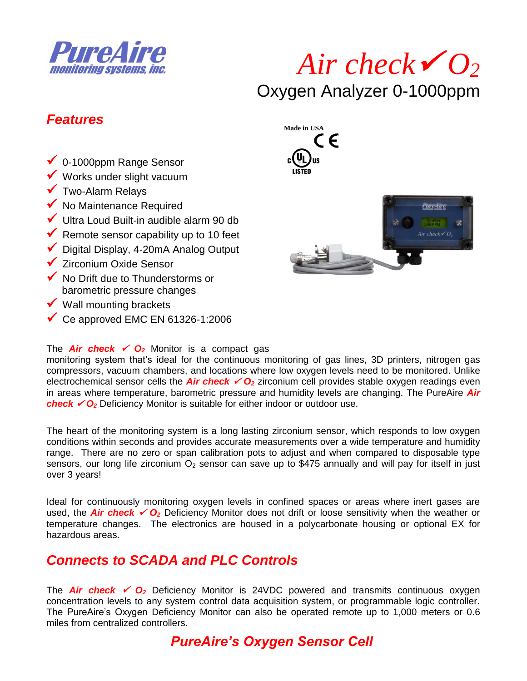

# *Air check O<sup>2</sup>* Oxygen Analyzer 0-1000ppm

#### *Features*

- ◆ 0-1000ppm Range Sensor
- $\checkmark$  Works under slight vacuum
- Two-Alarm Relays
- $\checkmark$  No Maintenance Required
- $\checkmark$  Ultra Loud Built-in audible alarm 90 db
- Remote sensor capability up to 10 feet
- ◆ Digital Display, 4-20mA Analog Output
- **✓ Zirconium Oxide Sensor**
- ◆ No Drift due to Thunderstorms or barometric pressure changes
- $\checkmark$  Wall mounting brackets
- $\checkmark$  Ce approved EMC EN 61326-1:2006

#### The **Air check**  $\checkmark$  **O**<sub>2</sub> Monitor is a compact gas

monitoring system that's ideal for the continuous monitoring of gas lines, 3D printers, nitrogen gas compressors, vacuum chambers, and locations where low oxygen levels need to be monitored. Unlike electrochemical sensor cells the **Air check**  $\checkmark O_2$  zirconium cell provides stable oxygen readings even in areas where temperature, barometric pressure and humidity levels are changing. The PureAire *Air check*  $\check{\phantom{1}}$   $O_2$  Deficiency Monitor is suitable for either indoor or outdoor use.

The heart of the monitoring system is a long lasting zirconium sensor, which responds to low oxygen conditions within seconds and provides accurate measurements over a wide temperature and humidity range. There are no zero or span calibration pots to adjust and when compared to disposable type sensors, our long life zirconium  $O_2$  sensor can save up to \$475 annually and will pay for itself in just over 3 years!

Ideal for continuously monitoring oxygen levels in confined spaces or areas where inert gases are used, the **Air check**  $\checkmark$  **O**<sub>2</sub> Deficiency Monitor does not drift or loose sensitivity when the weather or temperature changes. The electronics are housed in a polycarbonate housing or optional EX for hazardous areas.

#### *Connects to SCADA and PLC Controls*

The **Air check**  $\checkmark$  **O<sub>2</sub>** Deficiency Monitor is 24VDC powered and transmits continuous oxygen concentration levels to any system control data acquisition system, or programmable logic controller. The PureAire's Oxygen Deficiency Monitor can also be operated remote up to 1,000 meters or 0.6 miles from centralized controllers.





#### *PureAire's Oxygen Sensor Cell*